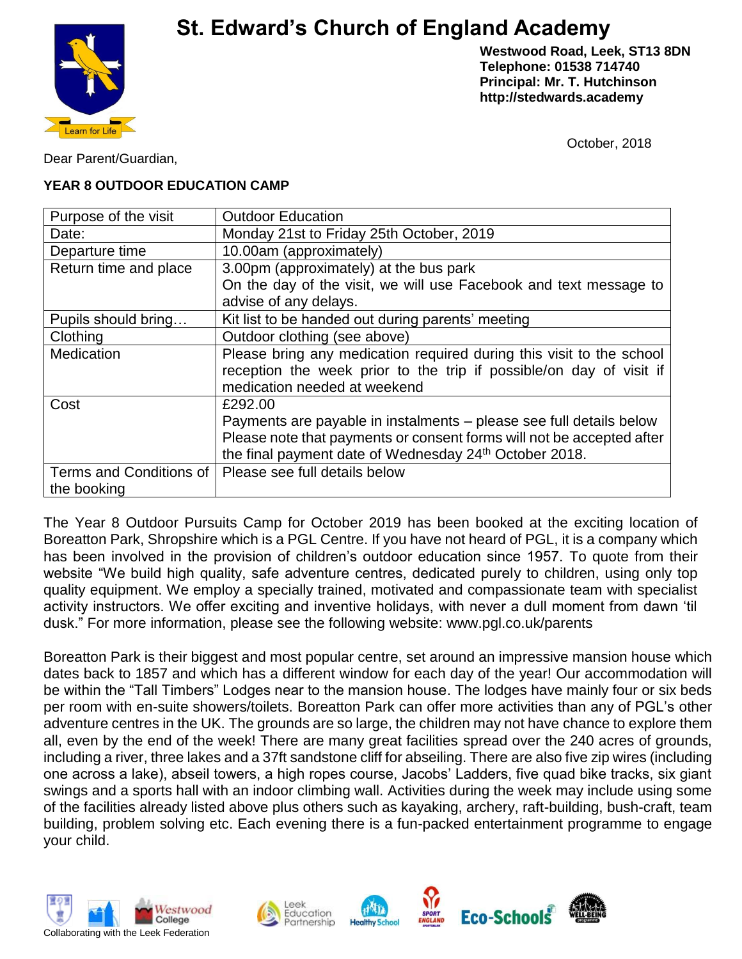# **St. Edward's Church of England Academy**



**Westwood Road, Leek, ST13 8DN Telephone: 01538 714740 Principal: Mr. T. Hutchinson http://stedwards.academy**

October, 2018

Dear Parent/Guardian,

### **YEAR 8 OUTDOOR EDUCATION CAMP**

| Purpose of the visit    | <b>Outdoor Education</b>                                              |
|-------------------------|-----------------------------------------------------------------------|
| Date:                   | Monday 21st to Friday 25th October, 2019                              |
| Departure time          | 10.00am (approximately)                                               |
| Return time and place   | 3.00pm (approximately) at the bus park                                |
|                         | On the day of the visit, we will use Facebook and text message to     |
|                         | advise of any delays.                                                 |
| Pupils should bring     | Kit list to be handed out during parents' meeting                     |
| Clothing                | Outdoor clothing (see above)                                          |
| Medication              | Please bring any medication required during this visit to the school  |
|                         | reception the week prior to the trip if possible/on day of visit if   |
|                         | medication needed at weekend                                          |
| Cost                    | £292.00                                                               |
|                         | Payments are payable in instalments – please see full details below   |
|                         | Please note that payments or consent forms will not be accepted after |
|                         | the final payment date of Wednesday 24 <sup>th</sup> October 2018.    |
| Terms and Conditions of | Please see full details below                                         |
| the booking             |                                                                       |

The Year 8 Outdoor Pursuits Camp for October 2019 has been booked at the exciting location of Boreatton Park, Shropshire which is a PGL Centre. If you have not heard of PGL, it is a company which has been involved in the provision of children's outdoor education since 1957. To quote from their website "We build high quality, safe adventure centres, dedicated purely to children, using only top quality equipment. We employ a specially trained, motivated and compassionate team with specialist activity instructors. We offer exciting and inventive holidays, with never a dull moment from dawn 'til dusk." For more information, please see the following website: www.pgl.co.uk/parents

Boreatton Park is their biggest and most popular centre, set around an impressive mansion house which dates back to 1857 and which has a different window for each day of the year! Our accommodation will be within the "Tall Timbers" Lodges near to the mansion house. The lodges have mainly four or six beds per room with en-suite showers/toilets. Boreatton Park can offer more activities than any of PGL's other adventure centres in the UK. The grounds are so large, the children may not have chance to explore them all, even by the end of the week! There are many great facilities spread over the 240 acres of grounds, including a river, three lakes and a 37ft sandstone cliff for abseiling. There are also five zip wires (including one across a lake), abseil towers, a high ropes course, Jacobs' Ladders, five quad bike tracks, six giant swings and a sports hall with an indoor climbing wall. Activities during the week may include using some of the facilities already listed above plus others such as kayaking, archery, raft-building, bush-craft, team building, problem solving etc. Each evening there is a fun-packed entertainment programme to engage your child.









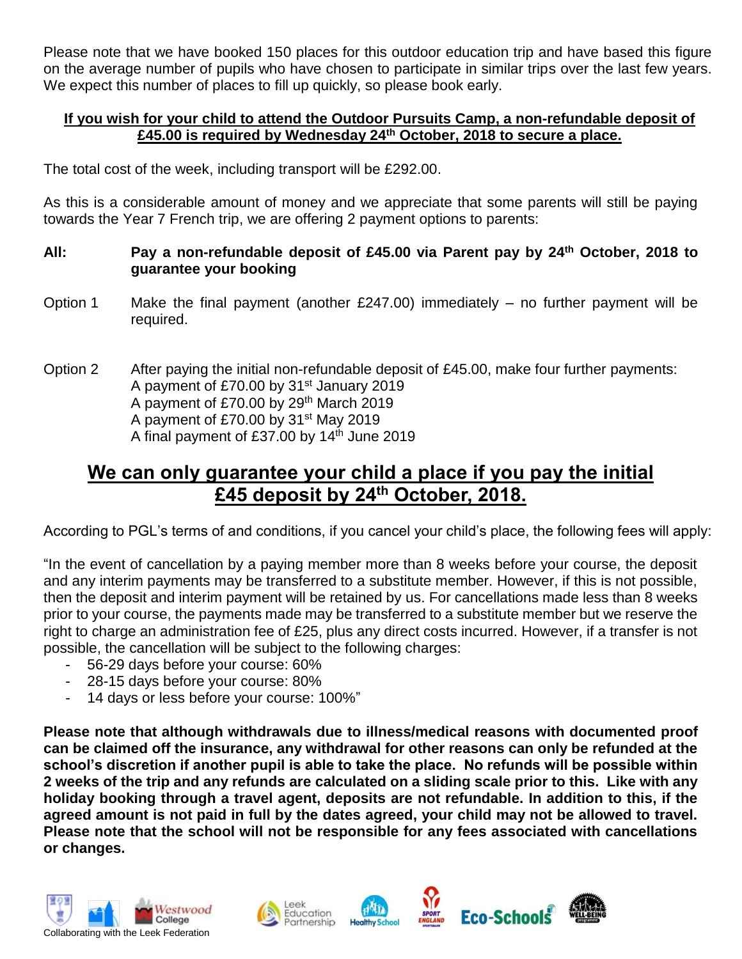Please note that we have booked 150 places for this outdoor education trip and have based this figure on the average number of pupils who have chosen to participate in similar trips over the last few years. We expect this number of places to fill up quickly, so please book early.

### **If you wish for your child to attend the Outdoor Pursuits Camp, a non-refundable deposit of £45.00 is required by Wednesday 24th October, 2018 to secure a place.**

The total cost of the week, including transport will be £292.00.

As this is a considerable amount of money and we appreciate that some parents will still be paying towards the Year 7 French trip, we are offering 2 payment options to parents:

### **All: Pay a non-refundable deposit of £45.00 via Parent pay by 24th October, 2018 to guarantee your booking**

- Option 1 Make the final payment (another  $£247.00$ ) immediately no further payment will be required.
- Option 2 After paying the initial non-refundable deposit of £45.00, make four further payments: A payment of £70.00 by  $31<sup>st</sup>$  January 2019 A payment of £70.00 by 29th March 2019 A payment of £70.00 by  $31<sup>st</sup>$  May 2019 A final payment of  $£37.00$  by 14<sup>th</sup> June 2019

# **We can only guarantee your child a place if you pay the initial £45 deposit by 24th October, 2018.**

According to PGL's terms of and conditions, if you cancel your child's place, the following fees will apply:

"In the event of cancellation by a paying member more than 8 weeks before your course, the deposit and any interim payments may be transferred to a substitute member. However, if this is not possible, then the deposit and interim payment will be retained by us. For cancellations made less than 8 weeks prior to your course, the payments made may be transferred to a substitute member but we reserve the right to charge an administration fee of £25, plus any direct costs incurred. However, if a transfer is not possible, the cancellation will be subject to the following charges:

- 56-29 days before your course: 60%
- 28-15 days before your course: 80%
- 14 days or less before your course: 100%"

**Please note that although withdrawals due to illness/medical reasons with documented proof can be claimed off the insurance, any withdrawal for other reasons can only be refunded at the school's discretion if another pupil is able to take the place. No refunds will be possible within 2 weeks of the trip and any refunds are calculated on a sliding scale prior to this. Like with any holiday booking through a travel agent, deposits are not refundable. In addition to this, if the agreed amount is not paid in full by the dates agreed, your child may not be allowed to travel. Please note that the school will not be responsible for any fees associated with cancellations or changes.**